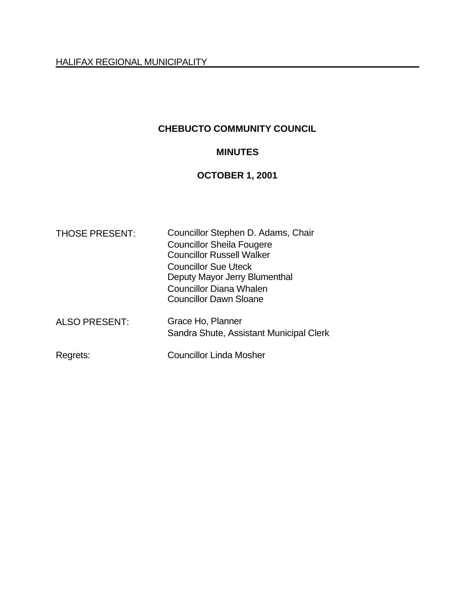## **CHEBUCTO COMMUNITY COUNCIL**

# **MINUTES**

# **OCTOBER 1, 2001**

| <b>THOSE PRESENT:</b>            | Councillor Stephen D. Adams, Chair<br><b>Councillor Sheila Fougere</b><br><b>Councillor Russell Walker</b><br><b>Councillor Sue Uteck</b><br>Deputy Mayor Jerry Blumenthal<br><b>Councillor Diana Whalen</b> |  |  |
|----------------------------------|--------------------------------------------------------------------------------------------------------------------------------------------------------------------------------------------------------------|--|--|
| <b>ALSO PRESENT:</b><br>Regrets: | <b>Councillor Dawn Sloane</b><br>Grace Ho, Planner<br>Sandra Shute, Assistant Municipal Clerk<br><b>Councillor Linda Mosher</b>                                                                              |  |  |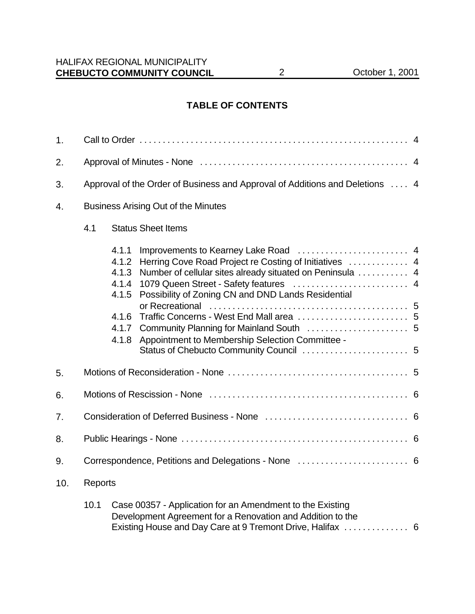#### **TABLE OF CONTENTS**

| 1.  |                                                                              |                                                                      |                                                                                                                                                                                                                                                                        |  |
|-----|------------------------------------------------------------------------------|----------------------------------------------------------------------|------------------------------------------------------------------------------------------------------------------------------------------------------------------------------------------------------------------------------------------------------------------------|--|
| 2.  |                                                                              |                                                                      |                                                                                                                                                                                                                                                                        |  |
| 3.  | Approval of the Order of Business and Approval of Additions and Deletions  4 |                                                                      |                                                                                                                                                                                                                                                                        |  |
| 4.  |                                                                              |                                                                      | <b>Business Arising Out of the Minutes</b>                                                                                                                                                                                                                             |  |
|     | 4.1<br><b>Status Sheet Items</b>                                             |                                                                      |                                                                                                                                                                                                                                                                        |  |
|     |                                                                              | 4.1.1<br>4.1.2<br>4.1.3<br>4.1.4<br>4.1.5<br>4.1.6<br>4.1.7<br>4.1.8 | Herring Cove Road Project re Costing of Initiatives  4<br>Number of cellular sites already situated on Peninsula  4<br>1079 Queen Street - Safety features  4<br>Possibility of Zoning CN and DND Lands Residential<br>Appointment to Membership Selection Committee - |  |
| 5.  |                                                                              |                                                                      |                                                                                                                                                                                                                                                                        |  |
| 6.  |                                                                              |                                                                      |                                                                                                                                                                                                                                                                        |  |
| 7.  |                                                                              |                                                                      |                                                                                                                                                                                                                                                                        |  |
| 8.  |                                                                              |                                                                      |                                                                                                                                                                                                                                                                        |  |
| 9.  |                                                                              |                                                                      |                                                                                                                                                                                                                                                                        |  |
| 10. | <b>Reports</b>                                                               |                                                                      |                                                                                                                                                                                                                                                                        |  |
|     | 10.1                                                                         |                                                                      | Case 00357 - Application for an Amendment to the Existing<br>Development Agreement for a Renovation and Addition to the<br>Existing House and Day Care at 9 Tremont Drive, Halifax  6                                                                                  |  |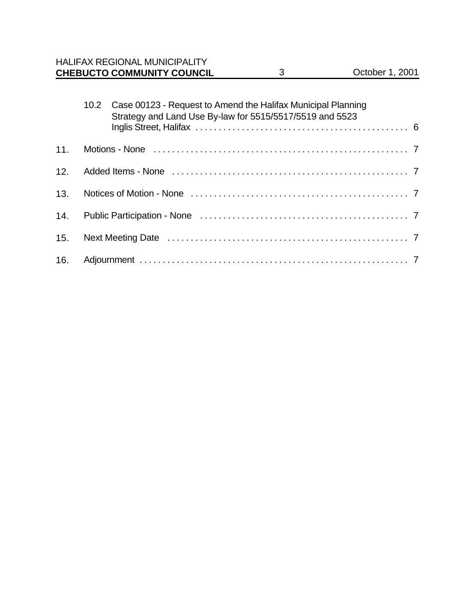| <b>CHEBUCTO COMMUNITY COUNCIL</b>    | October 1, 2001 |
|--------------------------------------|-----------------|
| <b>HALIFAX REGIONAL MUNICIPALITY</b> |                 |

|     | 10.2 Case 00123 - Request to Amend the Halifax Municipal Planning<br>Strategy and Land Use By-law for 5515/5517/5519 and 5523 |
|-----|-------------------------------------------------------------------------------------------------------------------------------|
|     |                                                                                                                               |
|     |                                                                                                                               |
|     |                                                                                                                               |
| 13. |                                                                                                                               |
| 14. |                                                                                                                               |
| 15. |                                                                                                                               |
| 16. |                                                                                                                               |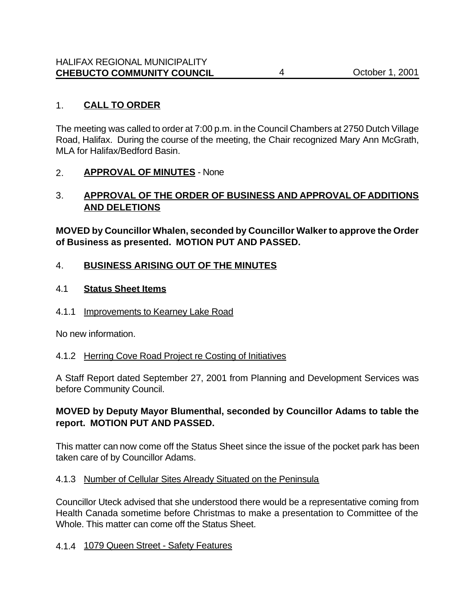## 1. **CALL TO ORDER**

The meeting was called to order at 7:00 p.m. in the Council Chambers at 2750 Dutch Village Road, Halifax. During the course of the meeting, the Chair recognized Mary Ann McGrath, MLA for Halifax/Bedford Basin.

## 2. **APPROVAL OF MINUTES** - None

## 3. **APPROVAL OF THE ORDER OF BUSINESS AND APPROVAL OF ADDITIONS AND DELETIONS**

**MOVED by Councillor Whalen, seconded by Councillor Walker to approve the Order of Business as presented. MOTION PUT AND PASSED.**

## 4. **BUSINESS ARISING OUT OF THE MINUTES**

#### 4.1 **Status Sheet Items**

4.1.1 Improvements to Kearney Lake Road

No new information.

#### 4.1.2 Herring Cove Road Project re Costing of Initiatives

A Staff Report dated September 27, 2001 from Planning and Development Services was before Community Council.

## **MOVED by Deputy Mayor Blumenthal, seconded by Councillor Adams to table the report. MOTION PUT AND PASSED.**

This matter can now come off the Status Sheet since the issue of the pocket park has been taken care of by Councillor Adams.

#### 4.1.3 Number of Cellular Sites Already Situated on the Peninsula

Councillor Uteck advised that she understood there would be a representative coming from Health Canada sometime before Christmas to make a presentation to Committee of the Whole. This matter can come off the Status Sheet.

#### 4.1.4 1079 Queen Street - Safety Features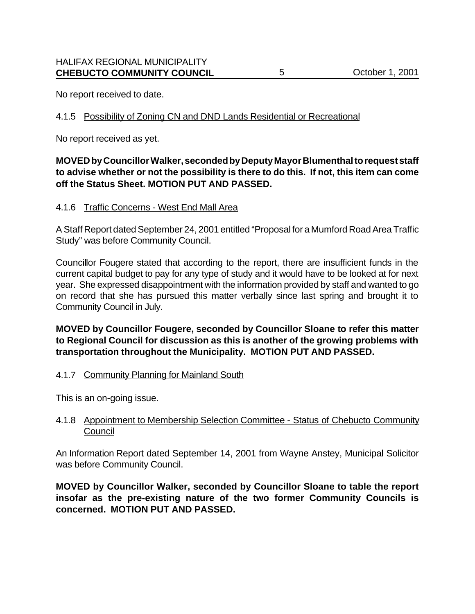No report received to date.

#### 4.1.5 Possibility of Zoning CN and DND Lands Residential or Recreational

No report received as yet.

## **MOVED by Councillor Walker, seconded by Deputy Mayor Blumenthal to request staff to advise whether or not the possibility is there to do this. If not, this item can come off the Status Sheet. MOTION PUT AND PASSED.**

#### 4.1.6 Traffic Concerns - West End Mall Area

A Staff Report dated September 24, 2001 entitled "Proposal for a Mumford Road Area Traffic Study" was before Community Council.

Councillor Fougere stated that according to the report, there are insufficient funds in the current capital budget to pay for any type of study and it would have to be looked at for next year. She expressed disappointment with the information provided by staff and wanted to go on record that she has pursued this matter verbally since last spring and brought it to Community Council in July.

## **MOVED by Councillor Fougere, seconded by Councillor Sloane to refer this matter to Regional Council for discussion as this is another of the growing problems with transportation throughout the Municipality. MOTION PUT AND PASSED.**

#### 4.1.7 Community Planning for Mainland South

This is an on-going issue.

## 4.1.8 Appointment to Membership Selection Committee - Status of Chebucto Community **Council**

An Information Report dated September 14, 2001 from Wayne Anstey, Municipal Solicitor was before Community Council.

**MOVED by Councillor Walker, seconded by Councillor Sloane to table the report insofar as the pre-existing nature of the two former Community Councils is concerned. MOTION PUT AND PASSED.**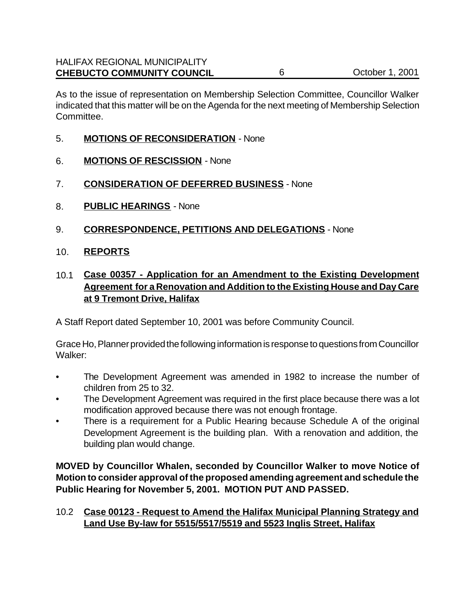As to the issue of representation on Membership Selection Committee, Councillor Walker indicated that this matter will be on the Agenda for the next meeting of Membership Selection Committee.

- 5. **MOTIONS OF RECONSIDERATION** None
- 6. **MOTIONS OF RESCISSION** None
- 7. **CONSIDERATION OF DEFERRED BUSINESS** None
- 8. **PUBLIC HEARINGS** None
- 9. **CORRESPONDENCE, PETITIONS AND DELEGATIONS** None
- 10. **REPORTS**
- 10.1 **Case 00357 Application for an Amendment to the Existing Development Agreement for a Renovation and Addition to the Existing House and Day Care at 9 Tremont Drive, Halifax**

A Staff Report dated September 10, 2001 was before Community Council.

Grace Ho, Planner provided the following information is response to questions from Councillor Walker:

- The Development Agreement was amended in 1982 to increase the number of children from 25 to 32.
- The Development Agreement was required in the first place because there was a lot modification approved because there was not enough frontage.
- There is a requirement for a Public Hearing because Schedule A of the original Development Agreement is the building plan. With a renovation and addition, the building plan would change.

**MOVED by Councillor Whalen, seconded by Councillor Walker to move Notice of Motion to consider approval of the proposed amending agreement and schedule the Public Hearing for November 5, 2001. MOTION PUT AND PASSED.**

## 10.2 **Case 00123 - Request to Amend the Halifax Municipal Planning Strategy and Land Use By-law for 5515/5517/5519 and 5523 Inglis Street, Halifax**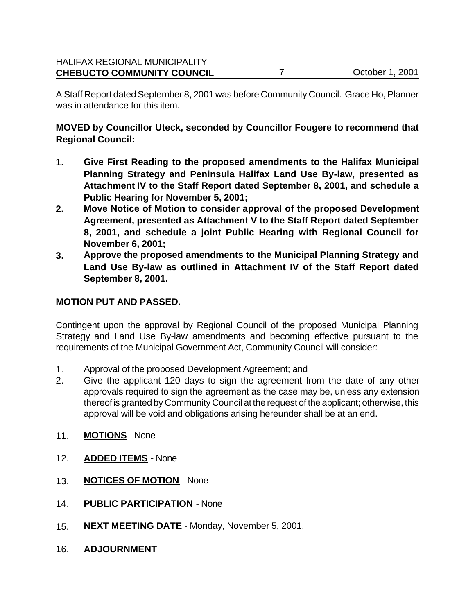A Staff Report dated September 8, 2001 was before Community Council. Grace Ho, Planner was in attendance for this item.

**MOVED by Councillor Uteck, seconded by Councillor Fougere to recommend that Regional Council:**

- **1. Give First Reading to the proposed amendments to the Halifax Municipal Planning Strategy and Peninsula Halifax Land Use By-law, presented as Attachment IV to the Staff Report dated September 8, 2001, and schedule a Public Hearing for November 5, 2001;**
- **2. Move Notice of Motion to consider approval of the proposed Development Agreement, presented as Attachment V to the Staff Report dated September 8, 2001, and schedule a joint Public Hearing with Regional Council for November 6, 2001;**
- **3. Approve the proposed amendments to the Municipal Planning Strategy and Land Use By-law as outlined in Attachment IV of the Staff Report dated September 8, 2001.**

## **MOTION PUT AND PASSED.**

Contingent upon the approval by Regional Council of the proposed Municipal Planning Strategy and Land Use By-law amendments and becoming effective pursuant to the requirements of the Municipal Government Act, Community Council will consider:

- 1. Approval of the proposed Development Agreement; and
- 2. Give the applicant 120 days to sign the agreement from the date of any other approvals required to sign the agreement as the case may be, unless any extension thereof is granted by Community Council at the request of the applicant; otherwise, this approval will be void and obligations arising hereunder shall be at an end.
- 11. **MOTIONS** None
- 12. **ADDED ITEMS** None
- 13. **NOTICES OF MOTION** None
- 14. **PUBLIC PARTICIPATION** None
- 15. **NEXT MEETING DATE** Monday, November 5, 2001.
- 16. **ADJOURNMENT**